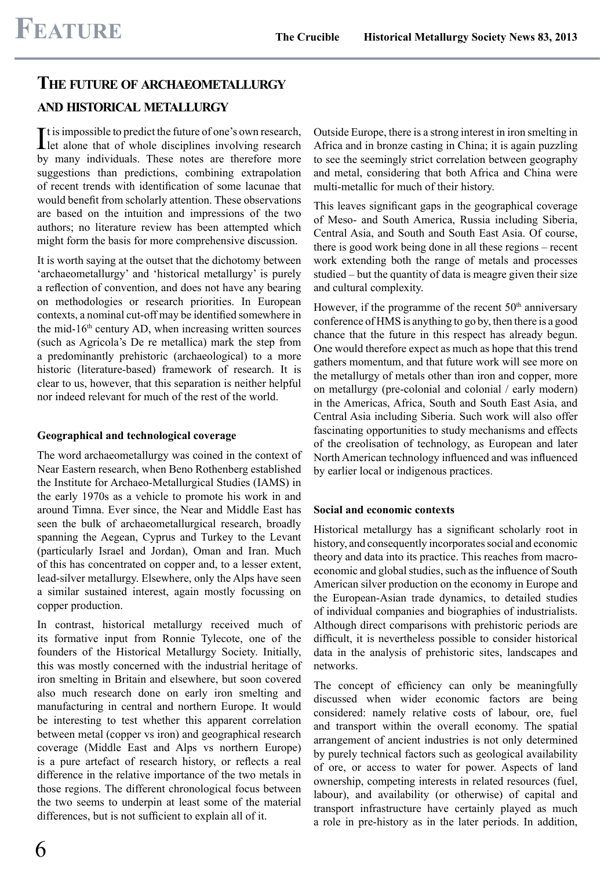# **THE FUTURE OF ARCHAEOMETALLURGY**

# **AND HISTORICAL METALLURGY**

It is impossible to predict the future of one's own research,<br>let alone that of whole disciplines involving research let alone that of whole disciplines involving research by many individuals. These notes are therefore more suggestions than predictions, combining extrapolation of recent trends with identiication of some lacunae that would benefit from scholarly attention. These observations are based on the intuition and impressions of the two authors; no literature review has been attempted which might form the basis for more comprehensive discussion.

It is worth saying at the outset that the dichotomy between 'archaeometallurgy' and 'historical metallurgy' is purely a reflection of convention, and does not have any bearing on methodologies or research priorities. In European contexts, a nominal cut-off may be identified somewhere in the mid-16<sup>th</sup> century AD, when increasing written sources (such as Agricola's De re metallica) mark the step from a predominantly prehistoric (archaeological) to a more historic (literature-based) framework of research. It is clear to us, however, that this separation is neither helpful nor indeed relevant for much of the rest of the world.

#### **Geographical and technological coverage**

The word archaeometallurgy was coined in the context of Near Eastern research, when Beno Rothenberg established the Institute for Archaeo-Metallurgical Studies (IAMS) in the early 1970s as a vehicle to promote his work in and around Timna. Ever since, the Near and Middle East has seen the bulk of archaeometallurgical research, broadly spanning the Aegean, Cyprus and Turkey to the Levant (particularly Israel and Jordan), Oman and Iran. Much of this has concentrated on copper and, to a lesser extent, lead-silver metallurgy. Elsewhere, only the Alps have seen a similar sustained interest, again mostly focussing on copper production.

In contrast, historical metallurgy received much of its formative input from Ronnie Tylecote, one of the founders of the Historical Metallurgy Society. Initially, this was mostly concerned with the industrial heritage of iron smelting in Britain and elsewhere, but soon covered also much research done on early iron smelting and manufacturing in central and northern Europe. It would be interesting to test whether this apparent correlation between metal (copper vs iron) and geographical research coverage (Middle East and Alps vs northern Europe) is a pure artefact of research history, or reflects a real difference in the relative importance of the two metals in those regions. The different chronological focus between the two seems to underpin at least some of the material differences, but is not suficient to explain all of it.

Outside Europe, there is a strong interest in iron smelting in Africa and in bronze casting in China; it is again puzzling to see the seemingly strict correlation between geography and metal, considering that both Africa and China were multi-metallic for much of their history.

This leaves significant gaps in the geographical coverage of Meso- and South America, Russia including Siberia, Central Asia, and South and South East Asia. Of course, there is good work being done in all these regions – recent work extending both the range of metals and processes studied – but the quantity of data is meagre given their size and cultural complexity.

However, if the programme of the recent  $50<sup>th</sup>$  anniversary conference of HMS is anything to go by, then there is a good chance that the future in this respect has already begun. One would therefore expect as much as hope that this trend gathers momentum, and that future work will see more on the metallurgy of metals other than iron and copper, more on metallurgy (pre-colonial and colonial / early modern) in the Americas, Africa, South and South East Asia, and Central Asia including Siberia. Such work will also offer fascinating opportunities to study mechanisms and effects of the creolisation of technology, as European and later North American technology influenced and was influenced by earlier local or indigenous practices.

# **Social and economic contexts**

Historical metallurgy has a significant scholarly root in history, and consequently incorporates social and economic theory and data into its practice. This reaches from macroeconomic and global studies, such as the inluence of South American silver production on the economy in Europe and the European-Asian trade dynamics, to detailed studies of individual companies and biographies of industrialists. Although direct comparisons with prehistoric periods are dificult, it is nevertheless possible to consider historical data in the analysis of prehistoric sites, landscapes and networks.

The concept of eficiency can only be meaningfully discussed when wider economic factors are being considered: namely relative costs of labour, ore, fuel and transport within the overall economy. The spatial arrangement of ancient industries is not only determined by purely technical factors such as geological availability of ore, or access to water for power. Aspects of land ownership, competing interests in related resources (fuel, labour), and availability (or otherwise) of capital and transport infrastructure have certainly played as much a role in pre-history as in the later periods. In addition,